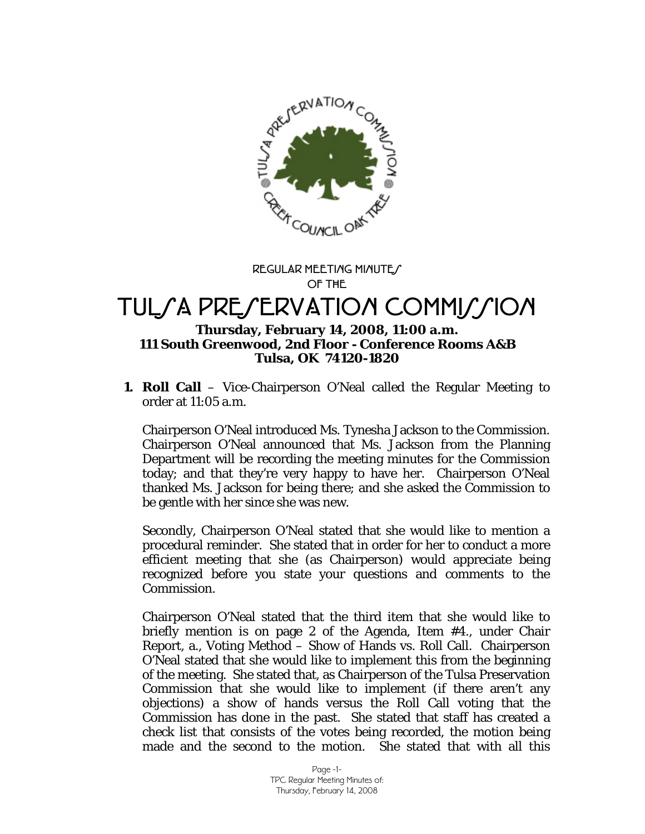

**REGULAR MEETING MINUTE/ OF THE** 

# TULSA PRESERVATION COMMISSION

#### **Thursday, February 14, 2008, 11:00 a.m. 111 South Greenwood, 2nd Floor - Conference Rooms A&B Tulsa, OK 74120-1820**

**1. Roll Call** – Vice-Chairperson O'Neal called the Regular Meeting to order at 11:05 a.m.

Chairperson O'Neal introduced Ms. Tynesha Jackson to the Commission. Chairperson O'Neal announced that Ms. Jackson from the Planning Department will be recording the meeting minutes for the Commission today; and that they're very happy to have her. Chairperson O'Neal thanked Ms. Jackson for being there; and she asked the Commission to be gentle with her since she was new.

Secondly, Chairperson O'Neal stated that she would like to mention a procedural reminder. She stated that in order for her to conduct a more efficient meeting that she (as Chairperson) would appreciate being recognized before you state your questions and comments to the Commission.

Chairperson O'Neal stated that the third item that she would like to briefly mention is on page 2 of the Agenda, Item #4., under Chair Report, a., Voting Method – Show of Hands vs. Roll Call. Chairperson O'Neal stated that she would like to implement this from the beginning of the meeting. She stated that, as Chairperson of the Tulsa Preservation Commission that she would like to implement (if there aren't any objections) a show of hands versus the Roll Call voting that the Commission has done in the past. She stated that staff has created a check list that consists of the votes being recorded, the motion being made and the second to the motion. She stated that with all this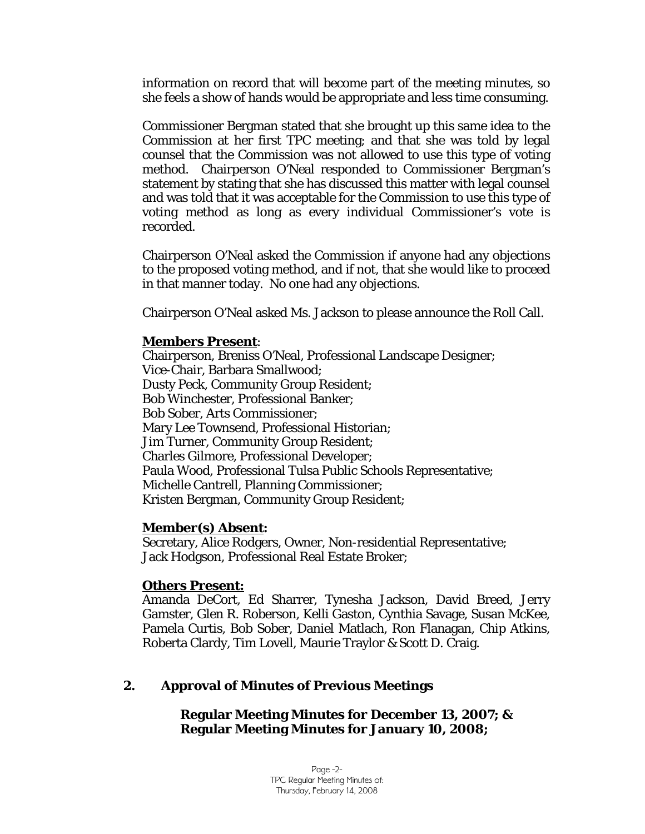information on record that will become part of the meeting minutes, so she feels a show of hands would be appropriate and less time consuming.

Commissioner Bergman stated that she brought up this same idea to the Commission at her first TPC meeting; and that she was told by legal counsel that the Commission was not allowed to use this type of voting method. Chairperson O'Neal responded to Commissioner Bergman's statement by stating that she has discussed this matter with legal counsel and was told that it was acceptable for the Commission to use this type of voting method as long as every individual Commissioner's vote is recorded.

Chairperson O'Neal asked the Commission if anyone had any objections to the proposed voting method, and if not, that she would like to proceed in that manner today. No one had any objections.

Chairperson O'Neal asked Ms. Jackson to please announce the Roll Call.

#### **Members Present**:

Chairperson, Breniss O'Neal, Professional Landscape Designer; Vice-Chair, Barbara Smallwood; Dusty Peck, Community Group Resident; Bob Winchester, Professional Banker; Bob Sober, Arts Commissioner; Mary Lee Townsend, Professional Historian; Jim Turner, Community Group Resident; Charles Gilmore, Professional Developer; Paula Wood, Professional Tulsa Public Schools Representative; Michelle Cantrell, Planning Commissioner; Kristen Bergman, Community Group Resident;

#### **Member(s) Absent:**

Secretary, Alice Rodgers, Owner, Non-residential Representative; Jack Hodgson, Professional Real Estate Broker;

#### **Others Present:**

Amanda DeCort, Ed Sharrer, Tynesha Jackson, David Breed, Jerry Gamster, Glen R. Roberson, Kelli Gaston, Cynthia Savage, Susan McKee, Pamela Curtis, Bob Sober, Daniel Matlach, Ron Flanagan, Chip Atkins, Roberta Clardy, Tim Lovell, Maurie Traylor & Scott D. Craig.

# **2. Approval of Minutes of Previous Meetings**

**Regular Meeting Minutes for December 13, 2007; & Regular Meeting Minutes for January 10, 2008;**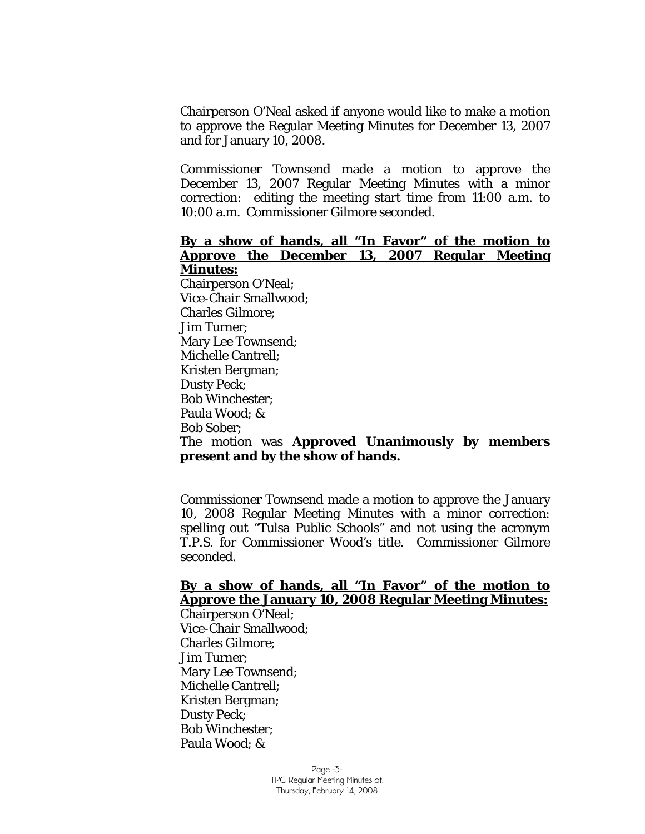Chairperson O'Neal asked if anyone would like to make a motion to approve the Regular Meeting Minutes for December 13, 2007 and for January 10, 2008.

Commissioner Townsend made a motion to approve the December 13, 2007 Regular Meeting Minutes with a minor correction: editing the meeting start time from 11:00 a.m. to 10:00 a.m. Commissioner Gilmore seconded.

#### **By a show of hands, all "In Favor" of the motion to Approve the December 13, 2007 Regular Meeting Minutes:**

Chairperson O'Neal; Vice-Chair Smallwood; Charles Gilmore; Jim Turner; Mary Lee Townsend; Michelle Cantrell; Kristen Bergman; Dusty Peck; Bob Winchester; Paula Wood; & Bob Sober;

#### The motion was **Approved Unanimously by members present and by the show of hands.**

Commissioner Townsend made a motion to approve the January 10, 2008 Regular Meeting Minutes with a minor correction: spelling out "Tulsa Public Schools" and not using the acronym T.P.S. for Commissioner Wood's title. Commissioner Gilmore seconded.

#### **By a show of hands, all "In Favor" of the motion to Approve the January 10, 2008 Regular Meeting Minutes:**

Chairperson O'Neal; Vice-Chair Smallwood; Charles Gilmore; Jim Turner; Mary Lee Townsend; Michelle Cantrell; Kristen Bergman; Dusty Peck; Bob Winchester; Paula Wood; &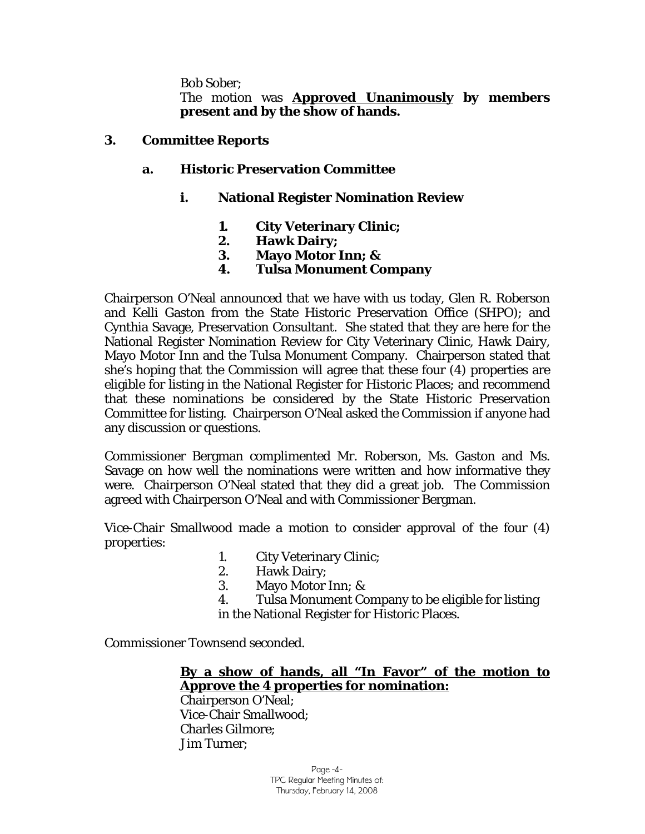Bob Sober;

The motion was **Approved Unanimously by members present and by the show of hands.** 

#### **3. Committee Reports**

## **a. Historic Preservation Committee**

## **i. National Register Nomination Review**

- **1. City Veterinary Clinic;**
- **2. Hawk Dairy;**
- **3. Mayo Motor Inn; &**
- **4. Tulsa Monument Company**

Chairperson O'Neal announced that we have with us today, Glen R. Roberson and Kelli Gaston from the State Historic Preservation Office (SHPO); and Cynthia Savage, Preservation Consultant. She stated that they are here for the National Register Nomination Review for City Veterinary Clinic, Hawk Dairy, Mayo Motor Inn and the Tulsa Monument Company. Chairperson stated that she's hoping that the Commission will agree that these four (4) properties are eligible for listing in the National Register for Historic Places; and recommend that these nominations be considered by the State Historic Preservation Committee for listing. Chairperson O'Neal asked the Commission if anyone had any discussion or questions.

Commissioner Bergman complimented Mr. Roberson, Ms. Gaston and Ms. Savage on how well the nominations were written and how informative they were. Chairperson O'Neal stated that they did a great job. The Commission agreed with Chairperson O'Neal and with Commissioner Bergman.

Vice-Chair Smallwood made a motion to consider approval of the four (4) properties:

- 1. City Veterinary Clinic;
- 2. Hawk Dairy;
- 3. Mayo Motor Inn; &

4. Tulsa Monument Company to be eligible for listing in the National Register for Historic Places.

Commissioner Townsend seconded.

**By a show of hands, all "In Favor" of the motion to Approve the 4 properties for nomination:**

Chairperson O'Neal; Vice-Chair Smallwood; Charles Gilmore; Jim Turner;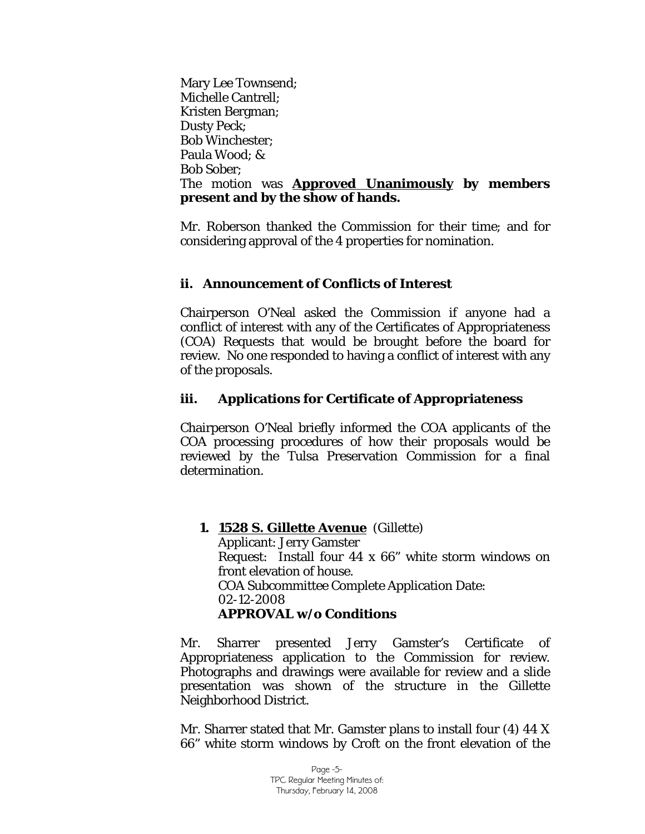Mary Lee Townsend; Michelle Cantrell; Kristen Bergman; Dusty Peck; Bob Winchester; Paula Wood; & Bob Sober; The motion was **Approved Unanimously by members present and by the show of hands.** 

Mr. Roberson thanked the Commission for their time; and for considering approval of the 4 properties for nomination.

## **ii. Announcement of Conflicts of Interest**

Chairperson O'Neal asked the Commission if anyone had a conflict of interest with any of the Certificates of Appropriateness (COA) Requests that would be brought before the board for review. No one responded to having a conflict of interest with any of the proposals.

# **iii. Applications for Certificate of Appropriateness**

Chairperson O'Neal briefly informed the COA applicants of the COA processing procedures of how their proposals would be reviewed by the Tulsa Preservation Commission for a final determination.

**1. 1528 S. Gillette Avenue** (Gillette) Applicant: Jerry Gamster Request: Install four 44 x 66" white storm windows on front elevation of house. COA Subcommittee Complete Application Date: 02-12-2008 **APPROVAL w/o Conditions** 

Mr. Sharrer presented Jerry Gamster's Certificate of Appropriateness application to the Commission for review. Photographs and drawings were available for review and a slide presentation was shown of the structure in the Gillette Neighborhood District.

Mr. Sharrer stated that Mr. Gamster plans to install four (4) 44 X 66" white storm windows by Croft on the front elevation of the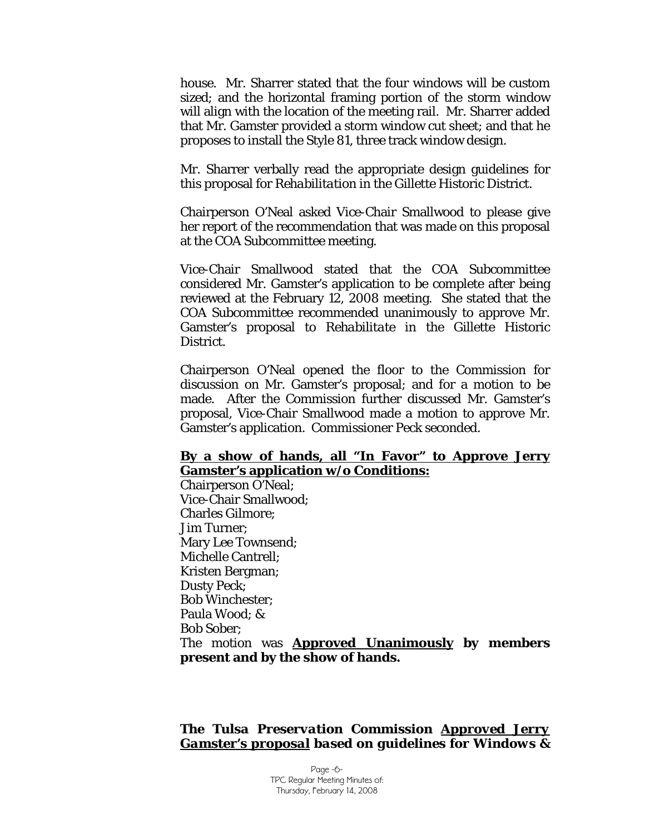house. Mr. Sharrer stated that the four windows will be custom sized; and the horizontal framing portion of the storm window will align with the location of the meeting rail. Mr. Sharrer added that Mr. Gamster provided a storm window cut sheet; and that he proposes to install the Style 81, three track window design.

Mr. Sharrer verbally read the appropriate design guidelines for this proposal for *Rehabilitation* in the Gillette Historic District.

Chairperson O'Neal asked Vice-Chair Smallwood to please give her report of the recommendation that was made on this proposal at the COA Subcommittee meeting.

Vice-Chair Smallwood stated that the COA Subcommittee considered Mr. Gamster's application to be complete after being reviewed at the February 12, 2008 meeting. She stated that the COA Subcommittee recommended unanimously to approve Mr. Gamster's proposal to *Rehabilitate* in the Gillette Historic District.

Chairperson O'Neal opened the floor to the Commission for discussion on Mr. Gamster's proposal; and for a motion to be made. After the Commission further discussed Mr. Gamster's proposal, Vice-Chair Smallwood made a motion to approve Mr. Gamster's application. Commissioner Peck seconded.

#### **By a show of hands, all "In Favor" to Approve Jerry Gamster's application w/o Conditions:**

Chairperson O'Neal; Vice-Chair Smallwood; Charles Gilmore; Jim Turner; Mary Lee Townsend; Michelle Cantrell; Kristen Bergman; Dusty Peck; Bob Winchester; Paula Wood; & Bob Sober; The motion was **Approved Unanimously by members present and by the show of hands.** 

#### *The Tulsa Preservation Commission Approved Jerry Gamster's proposal based on guidelines for Windows &*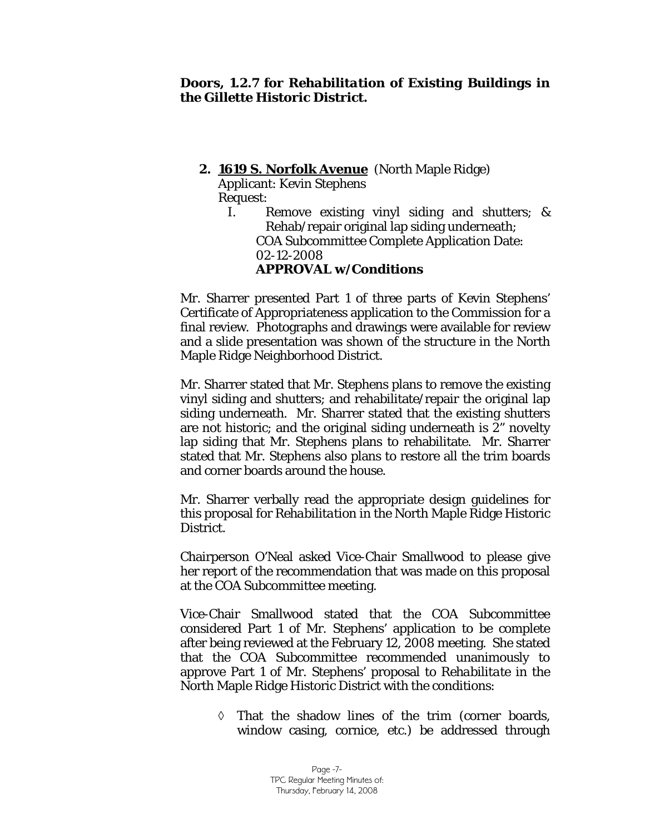# **2. 1619 S. Norfolk Avenue** (North Maple Ridge)

Applicant: Kevin Stephens Request:

I. Remove existing vinyl siding and shutters; & Rehab/repair original lap siding underneath; COA Subcommittee Complete Application Date: 02-12-2008 **APPROVAL w/Conditions** 

Mr. Sharrer presented Part 1 of three parts of Kevin Stephens' Certificate of Appropriateness application to the Commission for a final review. Photographs and drawings were available for review and a slide presentation was shown of the structure in the North Maple Ridge Neighborhood District.

Mr. Sharrer stated that Mr. Stephens plans to remove the existing vinyl siding and shutters; and rehabilitate/repair the original lap siding underneath. Mr. Sharrer stated that the existing shutters are not historic; and the original siding underneath is 2" novelty lap siding that Mr. Stephens plans to rehabilitate. Mr. Sharrer stated that Mr. Stephens also plans to restore all the trim boards and corner boards around the house.

Mr. Sharrer verbally read the appropriate design guidelines for this proposal for *Rehabilitation* in the North Maple Ridge Historic District.

Chairperson O'Neal asked Vice-Chair Smallwood to please give her report of the recommendation that was made on this proposal at the COA Subcommittee meeting.

Vice-Chair Smallwood stated that the COA Subcommittee considered Part 1 of Mr. Stephens' application to be complete after being reviewed at the February 12, 2008 meeting. She stated that the COA Subcommittee recommended unanimously to approve Part 1 of Mr. Stephens' proposal to *Rehabilitate* in the North Maple Ridge Historic District with the conditions:

> ◊ That the shadow lines of the trim (corner boards, window casing, cornice, etc.) be addressed through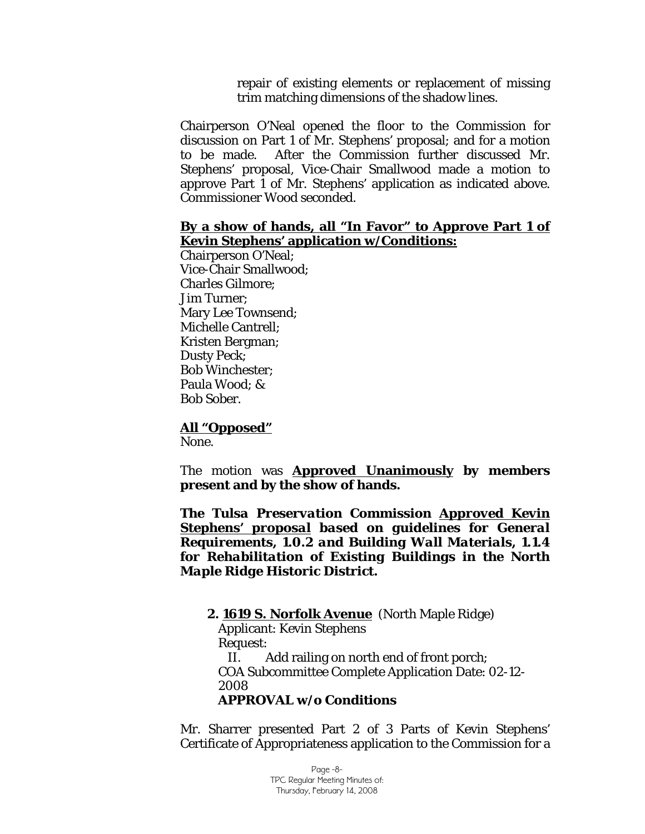repair of existing elements or replacement of missing trim matching dimensions of the shadow lines.

Chairperson O'Neal opened the floor to the Commission for discussion on Part 1 of Mr. Stephens' proposal; and for a motion to be made. After the Commission further discussed Mr. Stephens' proposal, Vice-Chair Smallwood made a motion to approve Part 1 of Mr. Stephens' application as indicated above. Commissioner Wood seconded.

#### **By a show of hands, all "In Favor" to Approve Part 1 of Kevin Stephens' application w/Conditions:**

Chairperson O'Neal; Vice-Chair Smallwood; Charles Gilmore; Jim Turner; Mary Lee Townsend; Michelle Cantrell; Kristen Bergman; Dusty Peck; Bob Winchester; Paula Wood; & Bob Sober.

# **All "Opposed"**

None.

The motion was **Approved Unanimously by members present and by the show of hands.** 

*The Tulsa Preservation Commission Approved Kevin Stephens' proposal based on guidelines for General Requirements, 1.0.2 and Building Wall Materials, 1.1.4 for Rehabilitation of Existing Buildings in the North Maple Ridge Historic District.* 

 **2. 1619 S. Norfolk Avenue** (North Maple Ridge) Applicant: Kevin Stephens Request: II. Add railing on north end of front porch; COA Subcommittee Complete Application Date: 02-12- 2008 **APPROVAL w/o Conditions** 

Mr. Sharrer presented Part 2 of 3 Parts of Kevin Stephens' Certificate of Appropriateness application to the Commission for a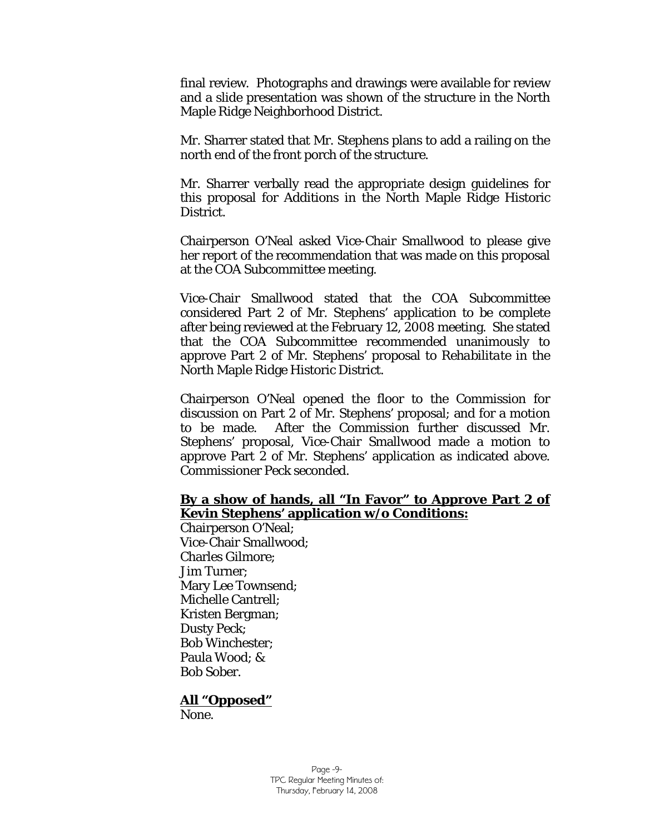final review. Photographs and drawings were available for review and a slide presentation was shown of the structure in the North Maple Ridge Neighborhood District.

Mr. Sharrer stated that Mr. Stephens plans to add a railing on the north end of the front porch of the structure.

Mr. Sharrer verbally read the appropriate design guidelines for this proposal for *Additions* in the North Maple Ridge Historic District.

Chairperson O'Neal asked Vice-Chair Smallwood to please give her report of the recommendation that was made on this proposal at the COA Subcommittee meeting.

Vice-Chair Smallwood stated that the COA Subcommittee considered Part 2 of Mr. Stephens' application to be complete after being reviewed at the February 12, 2008 meeting. She stated that the COA Subcommittee recommended unanimously to approve Part 2 of Mr. Stephens' proposal to *Rehabilitate* in the North Maple Ridge Historic District.

Chairperson O'Neal opened the floor to the Commission for discussion on Part 2 of Mr. Stephens' proposal; and for a motion to be made. After the Commission further discussed Mr. Stephens' proposal, Vice-Chair Smallwood made a motion to approve Part 2 of Mr. Stephens' application as indicated above. Commissioner Peck seconded.

#### **By a show of hands, all "In Favor" to Approve Part 2 of Kevin Stephens' application w/o Conditions:**

Chairperson O'Neal; Vice-Chair Smallwood; Charles Gilmore; Jim Turner; Mary Lee Townsend; Michelle Cantrell; Kristen Bergman; Dusty Peck; Bob Winchester; Paula Wood; & Bob Sober.

#### **All "Opposed"**

None.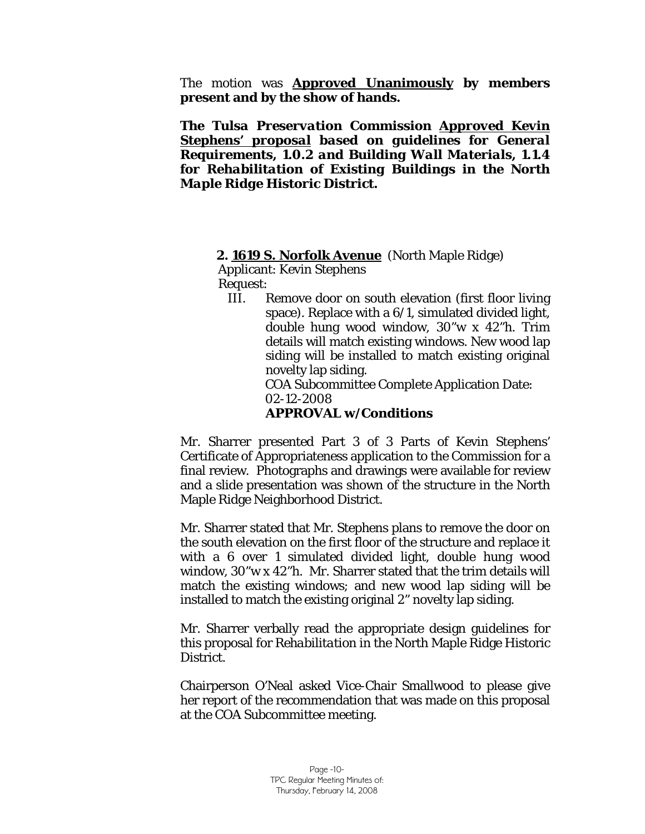The motion was **Approved Unanimously by members present and by the show of hands.** 

*The Tulsa Preservation Commission Approved Kevin Stephens' proposal based on guidelines for General Requirements, 1.0.2 and Building Wall Materials, 1.1.4 for Rehabilitation of Existing Buildings in the North Maple Ridge Historic District.* 

#### **2. 1619 S. Norfolk Avenue** (North Maple Ridge)

Applicant: Kevin Stephens

Request:

III. Remove door on south elevation (first floor living space). Replace with a 6/1, simulated divided light, double hung wood window, 30"w x 42"h. Trim details will match existing windows. New wood lap siding will be installed to match existing original novelty lap siding.

 COA Subcommittee Complete Application Date: 02-12-2008

#### **APPROVAL w/Conditions**

Mr. Sharrer presented Part 3 of 3 Parts of Kevin Stephens' Certificate of Appropriateness application to the Commission for a final review. Photographs and drawings were available for review and a slide presentation was shown of the structure in the North Maple Ridge Neighborhood District.

Mr. Sharrer stated that Mr. Stephens plans to remove the door on the south elevation on the first floor of the structure and replace it with a 6 over 1 simulated divided light, double hung wood window, 30"w x 42"h. Mr. Sharrer stated that the trim details will match the existing windows; and new wood lap siding will be installed to match the existing original 2" novelty lap siding.

Mr. Sharrer verbally read the appropriate design guidelines for this proposal for *Rehabilitation* in the North Maple Ridge Historic District.

Chairperson O'Neal asked Vice-Chair Smallwood to please give her report of the recommendation that was made on this proposal at the COA Subcommittee meeting.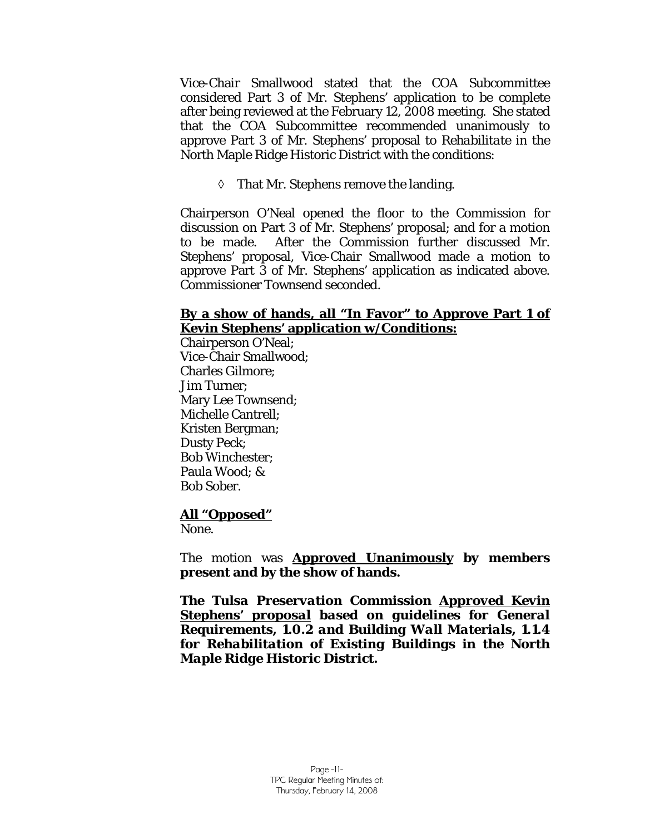Vice-Chair Smallwood stated that the COA Subcommittee considered Part 3 of Mr. Stephens' application to be complete after being reviewed at the February 12, 2008 meeting. She stated that the COA Subcommittee recommended unanimously to approve Part 3 of Mr. Stephens' proposal to *Rehabilitate* in the North Maple Ridge Historic District with the conditions:

◊ That Mr. Stephens remove the landing.

Chairperson O'Neal opened the floor to the Commission for discussion on Part 3 of Mr. Stephens' proposal; and for a motion to be made. After the Commission further discussed Mr. Stephens' proposal, Vice-Chair Smallwood made a motion to approve Part 3 of Mr. Stephens' application as indicated above. Commissioner Townsend seconded.

#### **By a show of hands, all "In Favor" to Approve Part 1 of Kevin Stephens' application w/Conditions:**

Chairperson O'Neal; Vice-Chair Smallwood; Charles Gilmore; Jim Turner; Mary Lee Townsend; Michelle Cantrell; Kristen Bergman; Dusty Peck; Bob Winchester; Paula Wood; & Bob Sober.

#### **All "Opposed"**

None.

The motion was **Approved Unanimously by members present and by the show of hands.** 

*The Tulsa Preservation Commission Approved Kevin Stephens' proposal based on guidelines for General Requirements, 1.0.2 and Building Wall Materials, 1.1.4 for Rehabilitation of Existing Buildings in the North Maple Ridge Historic District.*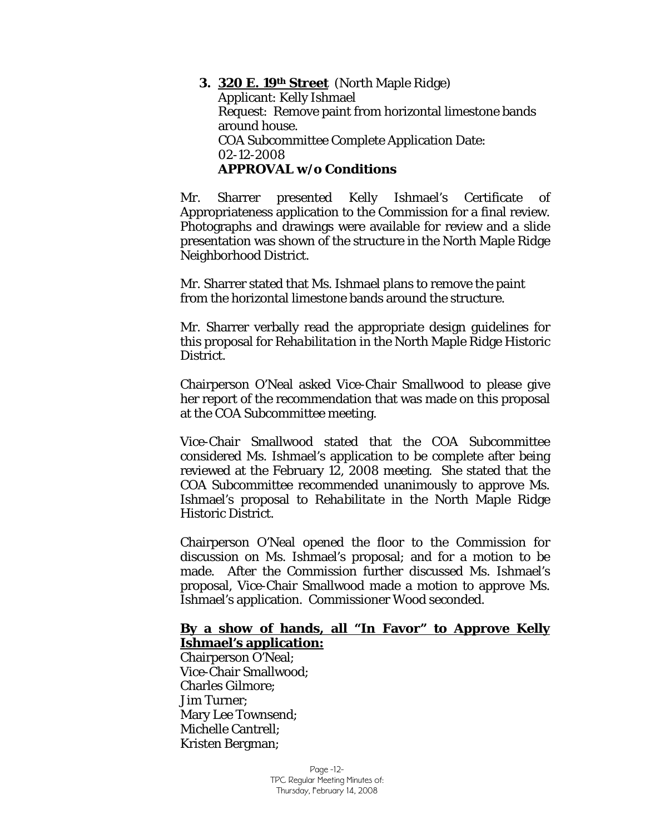**3. 320 E. 19th Street** (North Maple Ridge) Applicant: Kelly Ishmael Request: Remove paint from horizontal limestone bands around house. COA Subcommittee Complete Application Date: 02-12-2008 **APPROVAL w/o Conditions** 

Mr. Sharrer presented Kelly Ishmael's Certificate of Appropriateness application to the Commission for a final review. Photographs and drawings were available for review and a slide presentation was shown of the structure in the North Maple Ridge Neighborhood District.

Mr. Sharrer stated that Ms. Ishmael plans to remove the paint from the horizontal limestone bands around the structure.

Mr. Sharrer verbally read the appropriate design guidelines for this proposal for *Rehabilitation* in the North Maple Ridge Historic District.

Chairperson O'Neal asked Vice-Chair Smallwood to please give her report of the recommendation that was made on this proposal at the COA Subcommittee meeting.

Vice-Chair Smallwood stated that the COA Subcommittee considered Ms. Ishmael's application to be complete after being reviewed at the February 12, 2008 meeting. She stated that the COA Subcommittee recommended unanimously to approve Ms. Ishmael's proposal to *Rehabilitate* in the North Maple Ridge Historic District.

Chairperson O'Neal opened the floor to the Commission for discussion on Ms. Ishmael's proposal; and for a motion to be made. After the Commission further discussed Ms. Ishmael's proposal, Vice-Chair Smallwood made a motion to approve Ms. Ishmael's application. Commissioner Wood seconded.

#### **By a show of hands, all "In Favor" to Approve Kelly Ishmael's application:**

Chairperson O'Neal; Vice-Chair Smallwood; Charles Gilmore; Jim Turner; Mary Lee Townsend; Michelle Cantrell; Kristen Bergman;

> Page -12- TPC Regular Meeting Minutes of: Thursday, February 14, 2008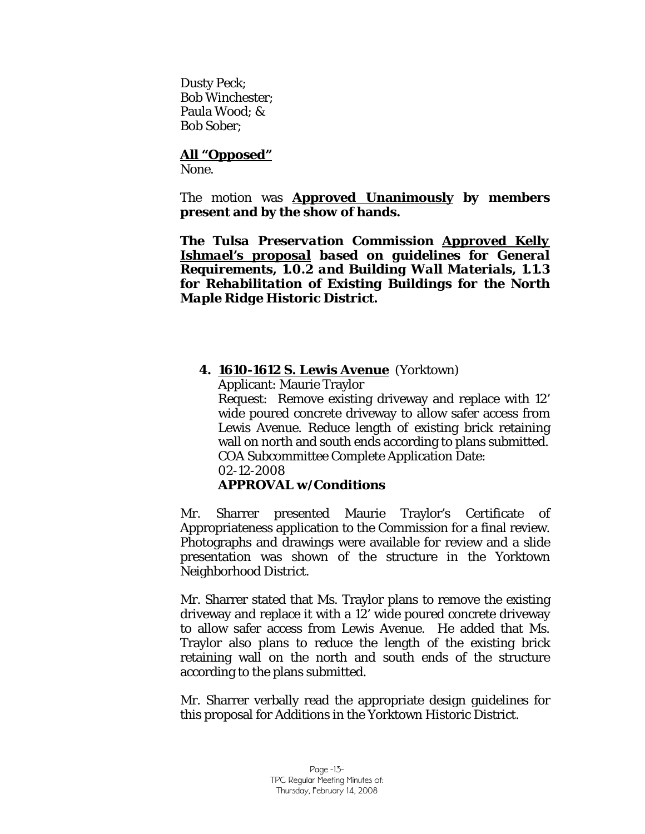Dusty Peck; Bob Winchester; Paula Wood; & Bob Sober;

# **All "Opposed"**

None.

The motion was **Approved Unanimously by members present and by the show of hands.** 

*The Tulsa Preservation Commission Approved Kelly Ishmael's proposal based on guidelines for General Requirements, 1.0.2 and Building Wall Materials, 1.1.3 for Rehabilitation of Existing Buildings for the North Maple Ridge Historic District.* 

## **4. 1610-1612 S. Lewis Avenue** (Yorktown)

Applicant: Maurie Traylor

Request: Remove existing driveway and replace with 12' wide poured concrete driveway to allow safer access from Lewis Avenue. Reduce length of existing brick retaining wall on north and south ends according to plans submitted. COA Subcommittee Complete Application Date: 02-12-2008

# **APPROVAL w/Conditions**

Mr. Sharrer presented Maurie Traylor's Certificate of Appropriateness application to the Commission for a final review. Photographs and drawings were available for review and a slide presentation was shown of the structure in the Yorktown Neighborhood District.

Mr. Sharrer stated that Ms. Traylor plans to remove the existing driveway and replace it with a 12' wide poured concrete driveway to allow safer access from Lewis Avenue. He added that Ms. Traylor also plans to reduce the length of the existing brick retaining wall on the north and south ends of the structure according to the plans submitted.

Mr. Sharrer verbally read the appropriate design guidelines for this proposal for *Additions* in the Yorktown Historic District.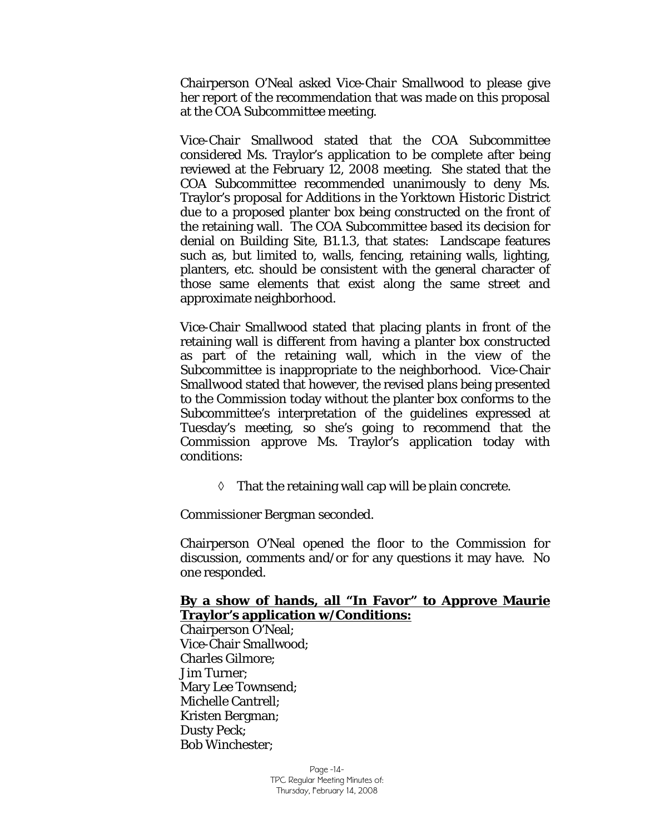Chairperson O'Neal asked Vice-Chair Smallwood to please give her report of the recommendation that was made on this proposal at the COA Subcommittee meeting.

Vice-Chair Smallwood stated that the COA Subcommittee considered Ms. Traylor's application to be complete after being reviewed at the February 12, 2008 meeting. She stated that the COA Subcommittee recommended unanimously to deny Ms. Traylor's proposal for *Additions* in the Yorktown Historic District due to a proposed planter box being constructed on the front of the retaining wall. The COA Subcommittee based its decision for denial on Building Site, B1.1.3, that states: Landscape features such as, but limited to, walls, fencing, retaining walls, lighting, planters, etc. should be consistent with the general character of those same elements that exist along the same street and approximate neighborhood.

Vice-Chair Smallwood stated that placing plants in front of the retaining wall is different from having a planter box constructed as part of the retaining wall, which in the view of the Subcommittee is inappropriate to the neighborhood. Vice-Chair Smallwood stated that however, the revised plans being presented to the Commission today without the planter box conforms to the Subcommittee's interpretation of the guidelines expressed at Tuesday's meeting, so she's going to recommend that the Commission approve Ms. Traylor's application today with conditions:

 $\Diamond$  That the retaining wall cap will be plain concrete.

Commissioner Bergman seconded.

Chairperson O'Neal opened the floor to the Commission for discussion, comments and/or for any questions it may have. No one responded.

#### **By a show of hands, all "In Favor" to Approve Maurie Traylor's application w/Conditions:**

Chairperson O'Neal; Vice-Chair Smallwood; Charles Gilmore; Jim Turner; Mary Lee Townsend; Michelle Cantrell; Kristen Bergman; Dusty Peck; Bob Winchester;

> Page -14- TPC Regular Meeting Minutes of: Thursday, February 14, 2008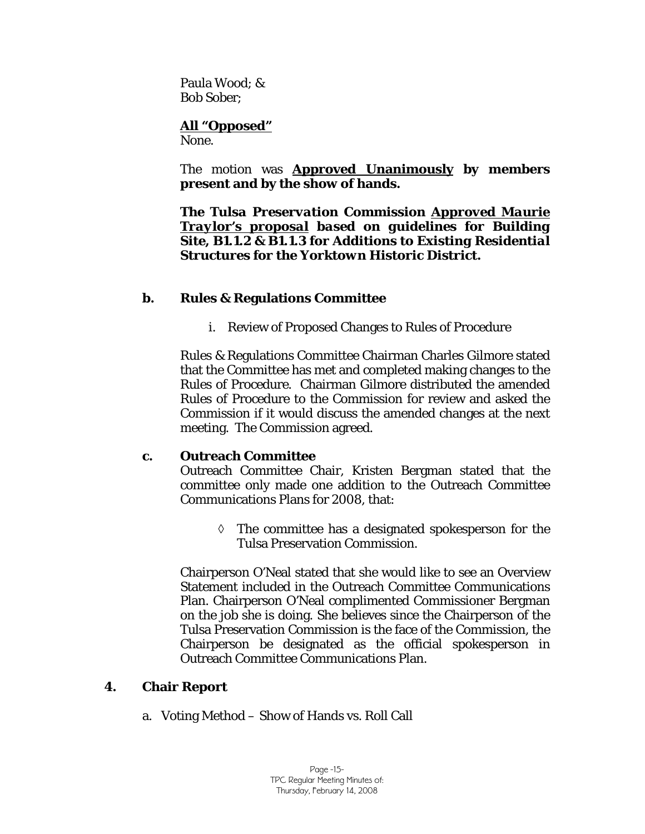Paula Wood; & Bob Sober;

# **All "Opposed"**

None.

The motion was **Approved Unanimously by members present and by the show of hands.** 

*The Tulsa Preservation Commission Approved Maurie Traylor's proposal based on guidelines for Building Site, B1.1.2 & B1.1.3 for Additions to Existing Residential Structures for the Yorktown Historic District.* 

## **b. Rules & Regulations Committee**

i. Review of Proposed Changes to Rules of Procedure

Rules & Regulations Committee Chairman Charles Gilmore stated that the Committee has met and completed making changes to the Rules of Procedure. Chairman Gilmore distributed the amended Rules of Procedure to the Commission for review and asked the Commission if it would discuss the amended changes at the next meeting. The Commission agreed.

#### **c. Outreach Committee**

Outreach Committee Chair, Kristen Bergman stated that the committee only made one addition to the Outreach Committee Communications Plans for 2008, that:

◊ The committee has a designated spokesperson for the Tulsa Preservation Commission.

Chairperson O'Neal stated that she would like to see an Overview Statement included in the Outreach Committee Communications Plan. Chairperson O'Neal complimented Commissioner Bergman on the job she is doing. She believes since the Chairperson of the Tulsa Preservation Commission is the face of the Commission, the Chairperson be designated as the official spokesperson in Outreach Committee Communications Plan.

# **4. Chair Report**

a. Voting Method – Show of Hands vs. Roll Call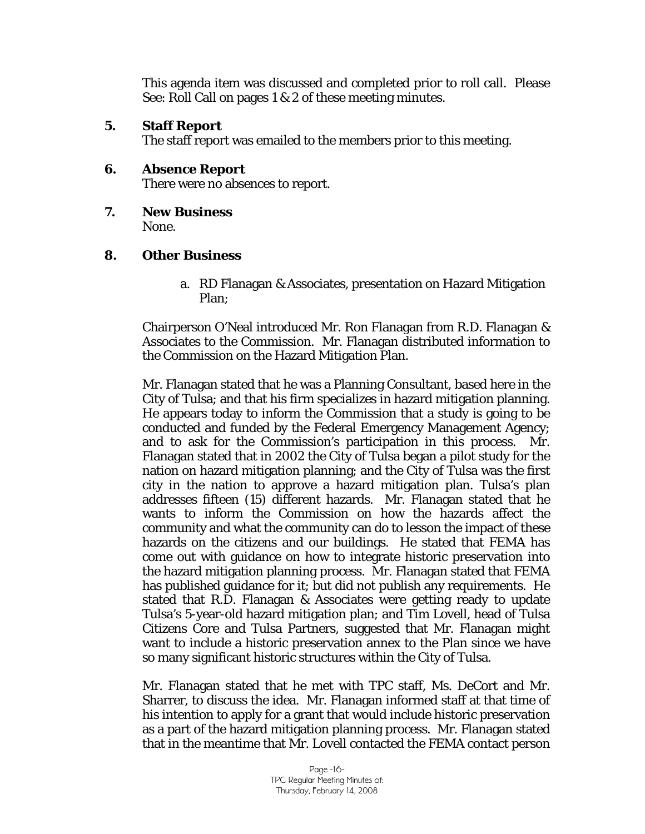This agenda item was discussed and completed prior to roll call. Please See: Roll Call on pages 1 & 2 of these meeting minutes.

#### **5. Staff Report**

The staff report was emailed to the members prior to this meeting.

# **6. Absence Report**

There were no absences to report.

**7. New Business**  None.

#### **8. Other Business**

a. RD Flanagan & Associates, presentation on Hazard Mitigation Plan;

Chairperson O'Neal introduced Mr. Ron Flanagan from R.D. Flanagan & Associates to the Commission. Mr. Flanagan distributed information to the Commission on the Hazard Mitigation Plan.

Mr. Flanagan stated that he was a Planning Consultant, based here in the City of Tulsa; and that his firm specializes in hazard mitigation planning. He appears today to inform the Commission that a study is going to be conducted and funded by the Federal Emergency Management Agency; and to ask for the Commission's participation in this process. Mr. Flanagan stated that in 2002 the City of Tulsa began a pilot study for the nation on hazard mitigation planning; and the City of Tulsa was the first city in the nation to approve a hazard mitigation plan. Tulsa's plan addresses fifteen (15) different hazards. Mr. Flanagan stated that he wants to inform the Commission on how the hazards affect the community and what the community can do to lesson the impact of these hazards on the citizens and our buildings. He stated that FEMA has come out with guidance on how to integrate historic preservation into the hazard mitigation planning process. Mr. Flanagan stated that FEMA has published guidance for it; but did not publish any requirements. He stated that R.D. Flanagan & Associates were getting ready to update Tulsa's 5-year-old hazard mitigation plan; and Tim Lovell, head of Tulsa Citizens Core and Tulsa Partners, suggested that Mr. Flanagan might want to include a historic preservation annex to the Plan since we have so many significant historic structures within the City of Tulsa.

Mr. Flanagan stated that he met with TPC staff, Ms. DeCort and Mr. Sharrer, to discuss the idea. Mr. Flanagan informed staff at that time of his intention to apply for a grant that would include historic preservation as a part of the hazard mitigation planning process. Mr. Flanagan stated that in the meantime that Mr. Lovell contacted the FEMA contact person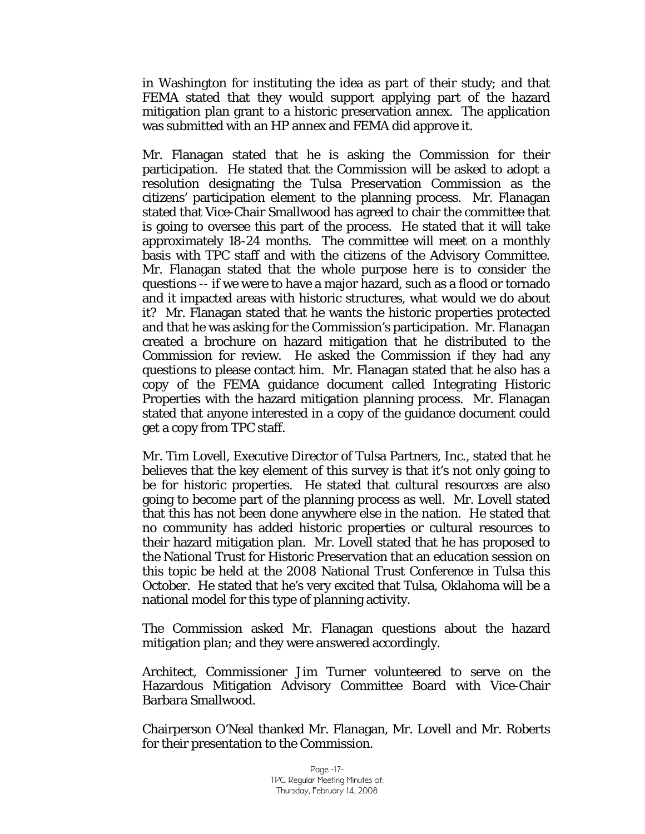in Washington for instituting the idea as part of their study; and that FEMA stated that they would support applying part of the hazard mitigation plan grant to a historic preservation annex. The application was submitted with an HP annex and FEMA did approve it.

Mr. Flanagan stated that he is asking the Commission for their participation. He stated that the Commission will be asked to adopt a resolution designating the Tulsa Preservation Commission as the citizens' participation element to the planning process. Mr. Flanagan stated that Vice-Chair Smallwood has agreed to chair the committee that is going to oversee this part of the process. He stated that it will take approximately 18-24 months. The committee will meet on a monthly basis with TPC staff and with the citizens of the Advisory Committee. Mr. Flanagan stated that the whole purpose here is to consider the questions -- if we were to have a major hazard, such as a flood or tornado and it impacted areas with historic structures, what would we do about it? Mr. Flanagan stated that he wants the historic properties protected and that he was asking for the Commission's participation. Mr. Flanagan created a brochure on hazard mitigation that he distributed to the Commission for review. He asked the Commission if they had any questions to please contact him. Mr. Flanagan stated that he also has a copy of the FEMA guidance document called Integrating Historic Properties with the hazard mitigation planning process. Mr. Flanagan stated that anyone interested in a copy of the guidance document could get a copy from TPC staff.

Mr. Tim Lovell, Executive Director of Tulsa Partners, Inc., stated that he believes that the key element of this survey is that it's not only going to be for historic properties. He stated that cultural resources are also going to become part of the planning process as well. Mr. Lovell stated that this has not been done anywhere else in the nation. He stated that no community has added historic properties or cultural resources to their hazard mitigation plan. Mr. Lovell stated that he has proposed to the National Trust for Historic Preservation that an education session on this topic be held at the 2008 National Trust Conference in Tulsa this October. He stated that he's very excited that Tulsa, Oklahoma will be a national model for this type of planning activity.

The Commission asked Mr. Flanagan questions about the hazard mitigation plan; and they were answered accordingly.

Architect, Commissioner Jim Turner volunteered to serve on the Hazardous Mitigation Advisory Committee Board with Vice-Chair Barbara Smallwood.

Chairperson O'Neal thanked Mr. Flanagan, Mr. Lovell and Mr. Roberts for their presentation to the Commission.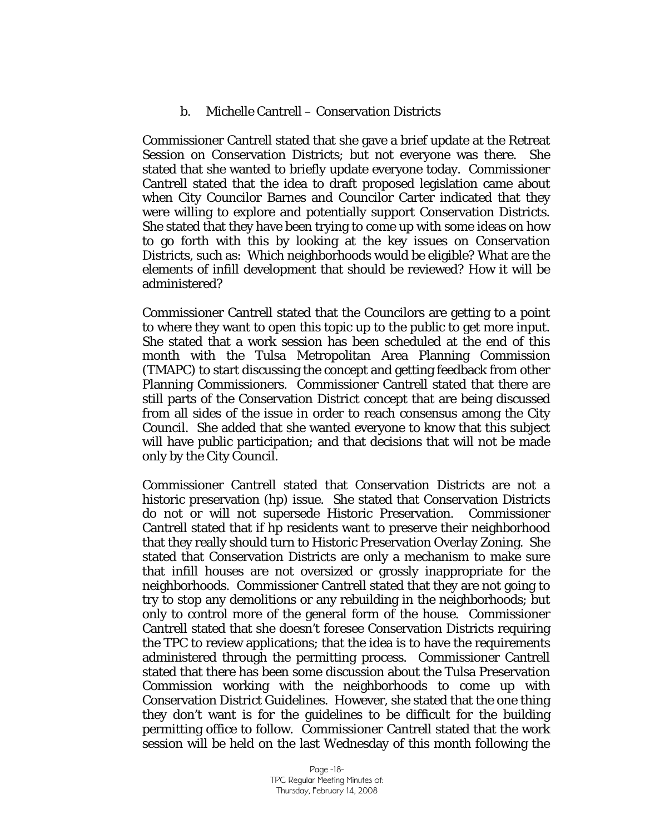#### b. Michelle Cantrell – Conservation Districts

Commissioner Cantrell stated that she gave a brief update at the Retreat Session on Conservation Districts; but not everyone was there. She stated that she wanted to briefly update everyone today. Commissioner Cantrell stated that the idea to draft proposed legislation came about when City Councilor Barnes and Councilor Carter indicated that they were willing to explore and potentially support Conservation Districts. She stated that they have been trying to come up with some ideas on how to go forth with this by looking at the key issues on Conservation Districts, such as: Which neighborhoods would be eligible? What are the elements of infill development that should be reviewed? How it will be administered?

Commissioner Cantrell stated that the Councilors are getting to a point to where they want to open this topic up to the public to get more input. She stated that a work session has been scheduled at the end of this month with the Tulsa Metropolitan Area Planning Commission (TMAPC) to start discussing the concept and getting feedback from other Planning Commissioners. Commissioner Cantrell stated that there are still parts of the Conservation District concept that are being discussed from all sides of the issue in order to reach consensus among the City Council. She added that she wanted everyone to know that this subject will have public participation; and that decisions that will not be made only by the City Council.

Commissioner Cantrell stated that Conservation Districts are not a historic preservation (hp) issue. She stated that Conservation Districts do not or will not supersede Historic Preservation. Commissioner Cantrell stated that if hp residents want to preserve their neighborhood that they really should turn to Historic Preservation Overlay Zoning. She stated that Conservation Districts are only a mechanism to make sure that infill houses are not oversized or grossly inappropriate for the neighborhoods. Commissioner Cantrell stated that they are not going to try to stop any demolitions or any rebuilding in the neighborhoods; but only to control more of the general form of the house. Commissioner Cantrell stated that she doesn't foresee Conservation Districts requiring the TPC to review applications; that the idea is to have the requirements administered through the permitting process. Commissioner Cantrell stated that there has been some discussion about the Tulsa Preservation Commission working with the neighborhoods to come up with Conservation District Guidelines. However, she stated that the one thing they don't want is for the guidelines to be difficult for the building permitting office to follow. Commissioner Cantrell stated that the work session will be held on the last Wednesday of this month following the